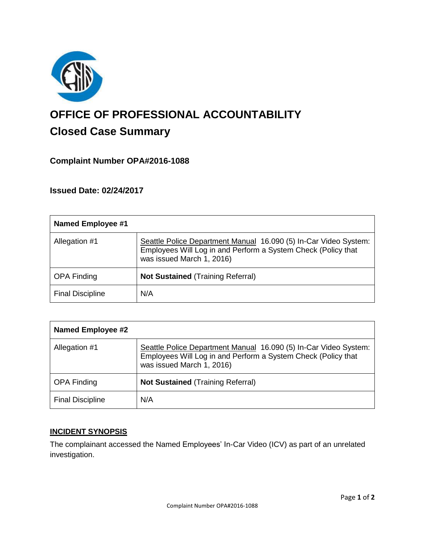

# **OFFICE OF PROFESSIONAL ACCOUNTABILITY Closed Case Summary**

# **Complaint Number OPA#2016-1088**

**Issued Date: 02/24/2017**

| <b>Named Employee #1</b> |                                                                                                                                                                |
|--------------------------|----------------------------------------------------------------------------------------------------------------------------------------------------------------|
| Allegation #1            | Seattle Police Department Manual 16.090 (5) In-Car Video System:<br>Employees Will Log in and Perform a System Check (Policy that<br>was issued March 1, 2016) |
| <b>OPA Finding</b>       | <b>Not Sustained (Training Referral)</b>                                                                                                                       |
| <b>Final Discipline</b>  | N/A                                                                                                                                                            |

| <b>Named Employee #2</b> |                                                                                                                                                                |
|--------------------------|----------------------------------------------------------------------------------------------------------------------------------------------------------------|
| Allegation #1            | Seattle Police Department Manual 16.090 (5) In-Car Video System:<br>Employees Will Log in and Perform a System Check (Policy that<br>was issued March 1, 2016) |
| <b>OPA Finding</b>       | <b>Not Sustained (Training Referral)</b>                                                                                                                       |
| <b>Final Discipline</b>  | N/A                                                                                                                                                            |

# **INCIDENT SYNOPSIS**

The complainant accessed the Named Employees' In-Car Video (ICV) as part of an unrelated investigation.